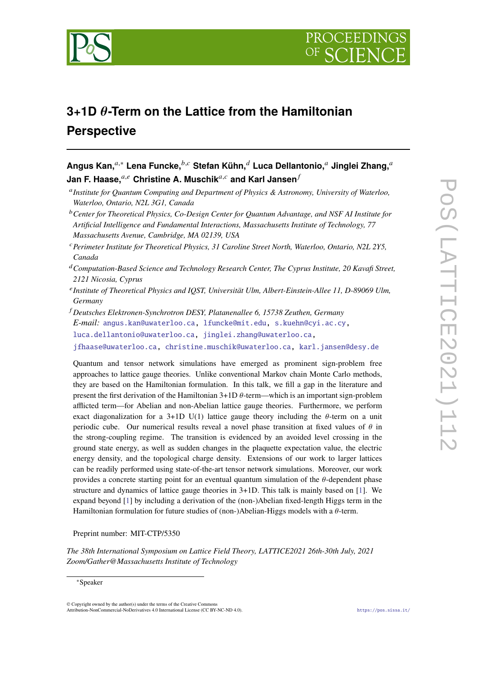

# **3+1D -Term on the Lattice from the Hamiltonian Perspective**

| Angus Kan, $a,*$ Lena Funcke, $b,c$ Stefan Kühn, $d$ Luca Dellantonio, $a$ Jinglei Zhang, $a$ |
|-----------------------------------------------------------------------------------------------|
| Jan F. Haase, $^{a,e}$ Christine A. Muschik $^{a,c}$ and Karl Jansen $^f$                     |

- *Institute for Quantum Computing and Department of Physics & Astronomy, University of Waterloo, Waterloo, Ontario, N2L 3G1, Canada*
- *Center for Theoretical Physics, Co-Design Center for Quantum Advantage, and NSF AI Institute for Artificial Intelligence and Fundamental Interactions, Massachusetts Institute of Technology, 77 Massachusetts Avenue, Cambridge, MA 02139, USA*
- *Perimeter Institute for Theoretical Physics, 31 Caroline Street North, Waterloo, Ontario, N2L 2Y5, Canada*
- *Computation-Based Science and Technology Research Center, The Cyprus Institute, 20 Kavafi Street, 2121 Nicosia, Cyprus*
- *Institute of Theoretical Physics and IQST, Universität Ulm, Albert-Einstein-Allee 11, D-89069 Ulm, Germany*
- *Deutsches Elektronen-Synchrotron DESY, Platanenallee 6, 15738 Zeuthen, Germany E-mail:* [angus.kan@uwaterloo.ca,](mailto:angus.kan@uwaterloo.ca) [lfuncke@mit.edu,](mailto:lfuncke@mit.edu) [s.kuehn@cyi.ac.cy,](mailto:s.kuehn@cyi.ac.cy) [luca.dellantonio@uwaterloo.ca,](mailto:luca.dellantonio@uwaterloo.ca) [jinglei.zhang@uwaterloo.ca,](mailto:jinglei.zhang@uwaterloo.ca) [jfhaase@uwaterloo.ca,](mailto:jfhaase@uwaterloo.ca) [christine.muschik@uwaterloo.ca,](mailto:christine.muschik@uwaterloo.ca) [karl.jansen@desy.de](mailto:karl.jansen@desy.de)

Quantum and tensor network simulations have emerged as prominent sign-problem free approaches to lattice gauge theories. Unlike conventional Markov chain Monte Carlo methods, they are based on the Hamiltonian formulation. In this talk, we fill a gap in the literature and present the first derivation of the Hamiltonian  $3+1D \theta$ -term—which is an important sign-problem afflicted term—for Abelian and non-Abelian lattice gauge theories. Furthermore, we perform exact diagonalization for a 3+1D U(1) lattice gauge theory including the  $\theta$ -term on a unit periodic cube. Our numerical results reveal a novel phase transition at fixed values of  $\theta$  in the strong-coupling regime. The transition is evidenced by an avoided level crossing in the ground state energy, as well as sudden changes in the plaquette expectation value, the electric energy density, and the topological charge density. Extensions of our work to larger lattices can be readily performed using state-of-the-art tensor network simulations. Moreover, our work provides a concrete starting point for an eventual quantum simulation of the  $\theta$ -dependent phase structure and dynamics of lattice gauge theories in 3+1D. This talk is mainly based on [\[1\]](#page-8-0). We expand beyond [\[1\]](#page-8-0) by including a derivation of the (non-)Abelian fixed-length Higgs term in the Hamiltonian formulation for future studies of (non-)Abelian-Higgs models with a  $\theta$ -term.

### Preprint number: MIT-CTP/5350

*The 38th International Symposium on Lattice Field Theory, LATTICE2021 26th-30th July, 2021 Zoom/Gather@Massachusetts Institute of Technology*

<sup>∗</sup>Speaker

<sup>©</sup> Copyright owned by the author(s) under the terms of the Creative Commons Attribution-NonCommercial-NoDerivatives 4.0 International License (CC BY-NC-ND 4.0). <https://pos.sissa.it/>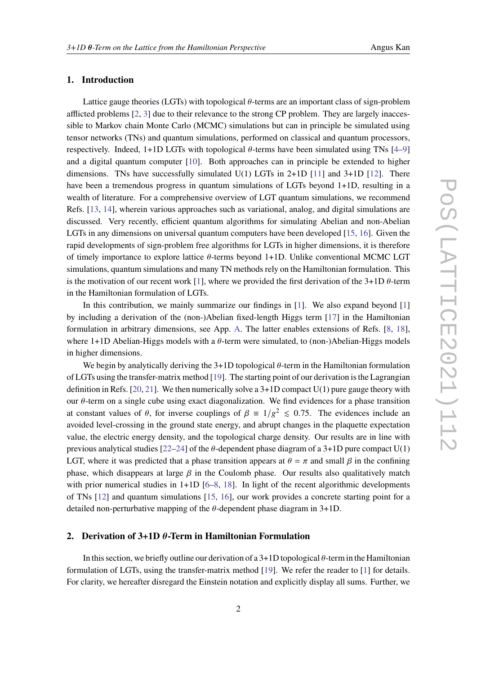## **1. Introduction**

Lattice gauge theories (LGTs) with topological  $\theta$ -terms are an important class of sign-problem afflicted problems [\[2,](#page-8-1) [3\]](#page-8-2) due to their relevance to the strong CP problem. They are largely inaccessible to Markov chain Monte Carlo (MCMC) simulations but can in principle be simulated using tensor networks (TNs) and quantum simulations, performed on classical and quantum processors, respectively. Indeed,  $1+1D$  LGTs with topological  $\theta$ -terms have been simulated using TNs  $[4-9]$  $[4-9]$ and a digital quantum computer [\[10\]](#page-9-0). Both approaches can in principle be extended to higher dimensions. TNs have successfully simulated  $U(1)$  LGTs in 2+1D [\[11\]](#page-9-1) and 3+1D [\[12\]](#page-9-2). There have been a tremendous progress in quantum simulations of LGTs beyond 1+1D, resulting in a wealth of literature. For a comprehensive overview of LGT quantum simulations, we recommend Refs. [\[13,](#page-9-3) [14\]](#page-9-4), wherein various approaches such as variational, analog, and digital simulations are discussed. Very recently, efficient quantum algorithms for simulating Abelian and non-Abelian LGTs in any dimensions on universal quantum computers have been developed [\[15,](#page-9-5) [16\]](#page-9-6). Given the rapid developments of sign-problem free algorithms for LGTs in higher dimensions, it is therefore of timely importance to explore lattice  $\theta$ -terms beyond 1+1D. Unlike conventional MCMC LGT simulations, quantum simulations and many TN methods rely on the Hamiltonian formulation. This is the motivation of our recent work [\[1\]](#page-8-0), where we provided the first derivation of the 3+1D  $\theta$ -term in the Hamiltonian formulation of LGTs.

In this contribution, we mainly summarize our findings in [\[1\]](#page-8-0). We also expand beyond [\[1\]](#page-8-0) by including a derivation of the (non-)Abelian fixed-length Higgs term [\[17\]](#page-9-7) in the Hamiltonian formulation in arbitrary dimensions, see App. [A.](#page-7-0) The latter enables extensions of Refs. [\[8,](#page-8-5) [18\]](#page-9-8), where 1+1D Abelian-Higgs models with a  $\theta$ -term were simulated, to (non-)Abelian-Higgs models in higher dimensions.

We begin by analytically deriving the  $3+1D$  topological  $\theta$ -term in the Hamiltonian formulation of LGTs using the transfer-matrix method [\[19\]](#page-9-9). The starting point of our derivation is the Lagrangian definition in Refs. [\[20,](#page-9-10) [21\]](#page-9-11). We then numerically solve a  $3+1D$  compact U(1) pure gauge theory with our  $\theta$ -term on a single cube using exact diagonalization. We find evidences for a phase transition at constant values of  $\theta$ , for inverse couplings of  $\beta = 1/g^2 \le 0.75$ . The evidences include an avoided level-crossing in the ground state energy, and abrupt changes in the plaquette expectation value, the electric energy density, and the topological charge density. Our results are in line with previous analytical studies [\[22–](#page-9-12)[24\]](#page-9-13) of the  $\theta$ -dependent phase diagram of a 3+1D pure compact U(1) LGT, where it was predicted that a phase transition appears at  $\theta = \pi$  and small  $\beta$  in the confining phase, which disappears at large  $\beta$  in the Coulomb phase. Our results also qualitatively match with prior numerical studies in 1+1D [\[6–](#page-8-6)[8,](#page-8-5) [18\]](#page-9-8). In light of the recent algorithmic developments of TNs [\[12\]](#page-9-2) and quantum simulations [\[15,](#page-9-5) [16\]](#page-9-6), our work provides a concrete starting point for a detailed non-perturbative mapping of the  $\theta$ -dependent phase diagram in 3+1D.

## **2. Derivation of 3+1D**  $\theta$ **-Term in Hamiltonian Formulation**

In this section, we briefly outline our derivation of a  $3+1D$  topological  $\theta$ -term in the Hamiltonian formulation of LGTs, using the transfer-matrix method [\[19\]](#page-9-9). We refer the reader to [\[1\]](#page-8-0) for details. For clarity, we hereafter disregard the Einstein notation and explicitly display all sums. Further, we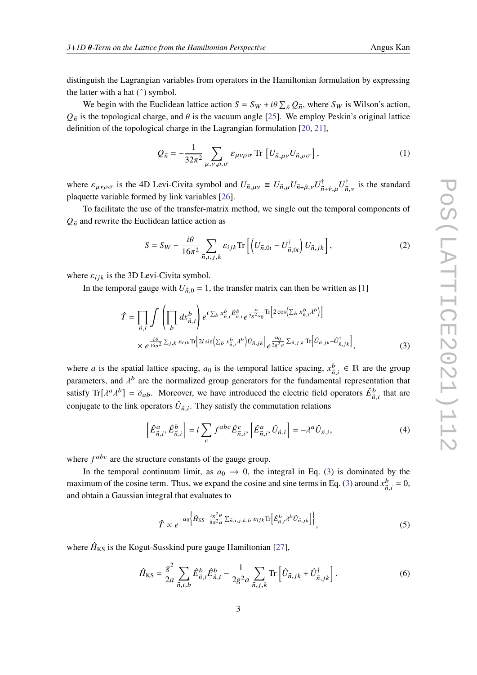distinguish the Lagrangian variables from operators in the Hamiltonian formulation by expressing the latter with a hat (ˆ) symbol.

We begin with the Euclidean lattice action  $S = S_W + i\theta \sum_{\vec{n}} Q_{\vec{n}}$ , where  $S_W$  is Wilson's action,  $Q_{\vec{n}}$  is the topological charge, and  $\theta$  is the vacuum angle [\[25\]](#page-9-14). We employ Peskin's original lattice definition of the topological charge in the Lagrangian formulation [\[20,](#page-9-10) [21\]](#page-9-11),

$$
Q_{\vec{n}} = -\frac{1}{32\pi^2} \sum_{\mu,\nu,\rho,\sigma} \varepsilon_{\mu\nu\rho\sigma} \operatorname{Tr} \left[ U_{\vec{n},\mu\nu} U_{\vec{n},\rho\sigma} \right],
$$
 (1)

where  $\varepsilon_{\mu\nu\rho\sigma}$  is the 4D Levi-Civita symbol and  $U_{\vec{n},\mu\nu} \equiv U_{\vec{n},\mu} U_{\vec{n}+\hat{\mu},\nu} U_{\vec{n}}^{\dagger}$  $\vec{n}$ + $\hat{\nu}, \mu$  $U^{\dagger}_{\vec{n}}$  $\vec{n}_{,v}$  is the standard plaquette variable formed by link variables [\[26\]](#page-10-0).

To facilitate the use of the transfer-matrix method, we single out the temporal components of  $Q_{\vec{n}}$  and rewrite the Euclidean lattice action as

$$
S = S_W - \frac{i\theta}{16\pi^2} \sum_{\vec{n},i,j,k} \varepsilon_{ijk} \text{Tr}\left[ \left( U_{\vec{n},0i} - U_{\vec{n},0i}^{\dagger} \right) U_{\vec{n},jk} \right],\tag{2}
$$

where  $\varepsilon_{ijk}$  is the 3D Levi-Civita symbol.

In the temporal gauge with  $U_{\vec{n},0} = 1$ , the transfer matrix can then be written as [\[1\]](#page-8-0)

$$
\hat{T} = \prod_{\vec{n},i} \int \left( \prod_{b} dx_{\vec{n},i}^{b} \right) e^{i \sum_{b} x_{\vec{n},i}^{b} \hat{E}_{\vec{n},i}^{b}} e^{\frac{a}{2g^{2}a_{0}} \text{Tr} \left[ 2 \cos \left( \sum_{b} x_{\vec{n},i}^{b} \lambda^{b} \right) \right]}
$$
\n
$$
\times e^{\frac{i\theta}{16\pi^{2}} \sum_{j,k} \varepsilon_{ijk} \text{Tr} \left[ 2i \sin \left( \sum_{b} x_{\vec{n},i}^{b} \lambda^{b} \right) \hat{U}_{\vec{n},jk} \right] } e^{\frac{a_{0}}{2g^{2}a} \sum_{\vec{n},j,k} \text{Tr} \left[ \hat{U}_{\vec{n},jk} + \hat{U}_{\vec{n},jk}^{\dagger} \right]},
$$
\n(3)

where *a* is the spatial lattice spacing,  $a_0$  is the temporal lattice spacing,  $x_{\vec{n}}^b$  $\mathbf{z}_{\vec{n},i}^b \in \mathbb{R}$  are the group parameters, and  $\lambda^{b}$  are the normalized group generators for the fundamental representation that satisfy Tr[ $\lambda^a \lambda^b$ ] =  $\delta_{ab}$ . Moreover, we have introduced the electric field operators  $\hat{E}^b_{\vec{n},i}$  that are conjugate to the link operators  $\hat{U}_{\vec{n},i}$ . They satisfy the commutation relations

<span id="page-2-0"></span>
$$
\left[\hat{E}^a_{\vec{n},i}, \hat{E}^b_{\vec{n},i}\right] = i \sum_c f^{abc} \hat{E}^c_{\vec{n},i}, \left[\hat{E}^a_{\vec{n},i}, \hat{U}_{\vec{n},i}\right] = -\lambda^a \hat{U}_{\vec{n},i},\tag{4}
$$

where  $f^{abc}$  are the structure constants of the gauge group.

In the temporal continuum limit, as  $a_0 \rightarrow 0$ , the integral in Eq. [\(3\)](#page-2-0) is dominated by the maximum of the cosine term. Thus, we expand the cosine and sine terms in Eq. [\(3\)](#page-2-0) around  $x_{\vec{n}}^b$  $\frac{b}{\vec{n}, i} = 0,$ and obtain a Gaussian integral that evaluates to

$$
\hat{T} \propto e^{-a_0 \left\{ \hat{H}_{\text{KS}} - \frac{ig^2 \theta}{8\pi^2 a} \sum_{\vec{n},i,j,k,b} \varepsilon_{ijk} \text{Tr} \left[ \hat{E}^b_{\vec{n},i} \lambda^b \hat{U}_{\vec{n},jk} \right] \right\}},
$$
(5)

where  $\hat{H}_{KS}$  is the Kogut-Susskind pure gauge Hamiltonian [\[27\]](#page-10-1),

$$
\hat{H}_{\rm KS} = \frac{g^2}{2a} \sum_{\vec{n},i,b} \hat{E}^b_{\vec{n},i} \hat{E}^b_{\vec{n},i} - \frac{1}{2g^2a} \sum_{\vec{n},j,k} \text{Tr} \left[ \hat{U}_{\vec{n},jk} + \hat{U}^{\dagger}_{\vec{n},jk} \right]. \tag{6}
$$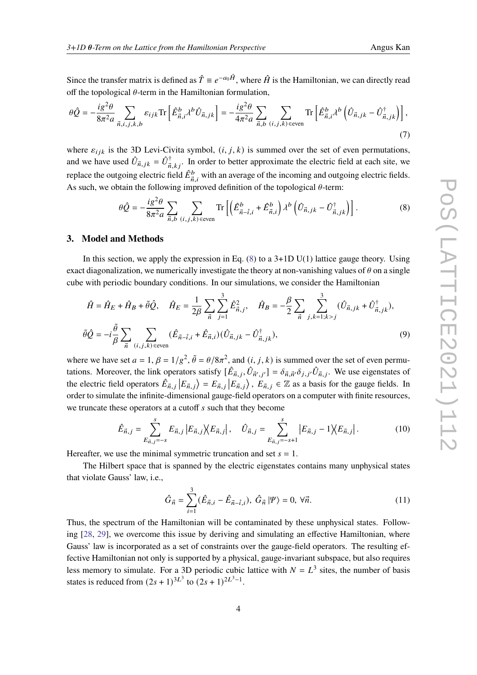Since the transfer matrix is defined as  $\hat{T} \equiv e^{-a_0 \hat{H}}$ , where  $\hat{H}$  is the Hamiltonian, we can directly read off the topological  $\theta$ -term in the Hamiltonian formulation,

$$
\theta \hat{Q} = -\frac{i g^2 \theta}{8\pi^2 a} \sum_{\vec{n},i,j,k,b} \varepsilon_{ijk} \text{Tr} \left[ \hat{E}^b_{\vec{n},i} \lambda^b \hat{U}_{\vec{n},jk} \right] = -\frac{i g^2 \theta}{4\pi^2 a} \sum_{\vec{n},b} \sum_{(i,j,k) \in \text{even}} \text{Tr} \left[ \hat{E}^b_{\vec{n},i} \lambda^b \left( \hat{U}_{\vec{n},jk} - \hat{U}_{\vec{n},jk}^{\dagger} \right) \right], \tag{7}
$$

where  $\varepsilon_{ijk}$  is the 3D Levi-Civita symbol,  $(i, j, k)$  is summed over the set of even permutations, and we have used  $\hat{U}_{\vec{n},jk} = \hat{U}_{\vec{n}}^{\dagger}$  $\vec{n}, k_j$ . In order to better approximate the electric field at each site, we replace the outgoing electric field  $\hat{E}^b_{\vec{n},i}$  with an average of the incoming and outgoing electric fields. As such, we obtain the following improved definition of the topological  $\theta$ -term:

<span id="page-3-0"></span>
$$
\theta \hat{Q} = -\frac{i g^2 \theta}{8\pi^2 a} \sum_{\vec{n},b} \sum_{(i,j,k)\text{ even}} \text{Tr}\left[ \left( \hat{E}^b_{\vec{n}-\hat{i},i} + \hat{E}^b_{\vec{n},i} \right) \lambda^b \left( \hat{U}_{\vec{n},jk} - \hat{U}^{\dagger}_{\vec{n},jk} \right) \right]. \tag{8}
$$

#### **3. Model and Methods**

In this section, we apply the expression in Eq.  $(8)$  to a 3+1D U(1) lattice gauge theory. Using exact diagonalization, we numerically investigate the theory at non-vanishing values of  $\theta$  on a single cube with periodic boundary conditions. In our simulations, we consider the Hamiltonian

$$
\hat{H} = \hat{H}_E + \hat{H}_B + \tilde{\theta}\hat{Q}, \quad \hat{H}_E = \frac{1}{2\beta} \sum_{\vec{n}} \sum_{j=1}^3 \hat{E}_{\vec{n},j}^2, \quad \hat{H}_B = -\frac{\beta}{2} \sum_{\vec{n}} \sum_{j,k=1;k>j}^3 (\hat{U}_{\vec{n},jk} + \hat{U}_{\vec{n},jk}^{\dagger}),
$$
  

$$
\tilde{\theta}\hat{Q} = -i\frac{\tilde{\theta}}{\beta} \sum_{\vec{n}} \sum_{(i,j,k) \text{ even}} (\hat{E}_{\vec{n}-\hat{i},i} + \hat{E}_{\vec{n},i}) (\hat{U}_{\vec{n},jk} - \hat{U}_{\vec{n},jk}^{\dagger}),
$$
\n(9)

where we have set  $a = 1$ ,  $\beta = 1/g^2$ ,  $\tilde{\theta} = \theta/8\pi^2$ , and  $(i, j, k)$  is summed over the set of even permutations. Moreover, the link operators satisfy  $[\hat{E}_{\vec{n},j}, \hat{U}_{\vec{n}',j'}] = \delta_{\vec{n},\vec{n}'} \delta_{j,j'} \hat{U}_{\vec{n},j}$ . We use eigenstates of the electric field operators  $\hat{E}_{\vec{n},j} |E_{\vec{n},j}\rangle = E_{\vec{n},j} |E_{\vec{n},j}\rangle$ ,  $E_{\vec{n},j} \in \mathbb{Z}$  as a basis for the gauge fields. In order to simulate the infinite-dimensional gauge-field operators on a computer with finite resources, we truncate these operators at a cutoff  $s$  such that they become

$$
\hat{E}_{\vec{n},j} = \sum_{E_{\vec{n},j}=-s}^{s} E_{\vec{n},j} \left| E_{\vec{n},j} \right| \langle E_{\vec{n},j} \right|, \quad \hat{U}_{\vec{n},j} = \sum_{E_{\vec{n},j}=-s+1}^{s} \left| E_{\vec{n},j} - 1 \right| \langle E_{\vec{n},j} \right|.
$$
 (10)

Hereafter, we use the minimal symmetric truncation and set  $s = 1$ .

The Hilbert space that is spanned by the electric eigenstates contains many unphysical states that violate Gauss' law, i.e.,

<span id="page-3-1"></span>
$$
\hat{G}_{\vec{n}} = \sum_{i=1}^{3} (\hat{E}_{\vec{n},i} - \hat{E}_{\vec{n}-\hat{i},i}), \ \hat{G}_{\vec{n}} | \Psi \rangle = 0, \ \forall \vec{n}.
$$
 (11)

Thus, the spectrum of the Hamiltonian will be contaminated by these unphysical states. Following [\[28,](#page-10-2) [29\]](#page-10-3), we overcome this issue by deriving and simulating an effective Hamiltonian, where Gauss' law is incorporated as a set of constraints over the gauge-field operators. The resulting effective Hamiltonian not only is supported by a physical, gauge-invariant subspace, but also requires less memory to simulate. For a 3D periodic cubic lattice with  $N = L<sup>3</sup>$  sites, the number of basis states is reduced from  $(2s + 1)^{3L^3}$  to  $(2s + 1)^{2L^3 - 1}$ .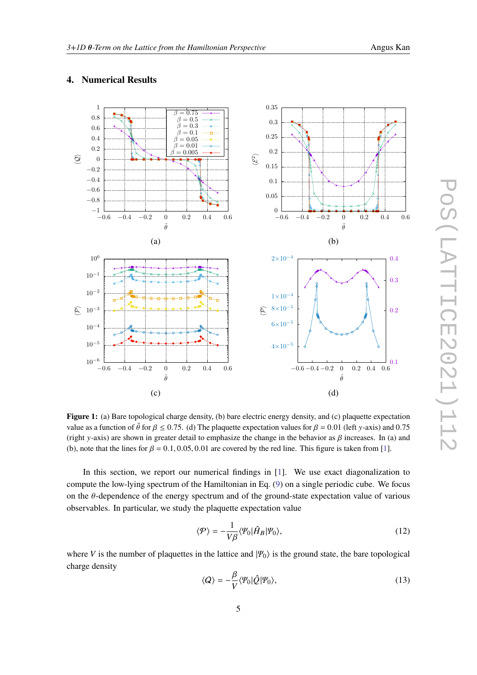<span id="page-4-0"></span>

# **4. Numerical Results**

**Figure 1:** (a) Bare topological charge density, (b) bare electric energy density, and (c) plaquette expectation value as a function of  $\tilde{\theta}$  for  $\beta \le 0.75$ . (d) The plaquette expectation values for  $\beta = 0.01$  (left y-axis) and 0.75 (right y-axis) are shown in greater detail to emphasize the change in the behavior as  $\beta$  increases. In (a) and (b), note that the lines for  $\beta = 0.1, 0.05, 0.01$  are covered by the red line. This figure is taken from [\[1\]](#page-8-0).

In this section, we report our numerical findings in [\[1\]](#page-8-0). We use exact diagonalization to compute the low-lying spectrum of the Hamiltonian in Eq. [\(9\)](#page-3-1) on a single periodic cube. We focus on the  $\theta$ -dependence of the energy spectrum and of the ground-state expectation value of various observables. In particular, we study the plaquette expectation value

$$
\langle \mathcal{P} \rangle = -\frac{1}{V\beta} \langle \mathcal{V}_0 | \hat{H}_B | \mathcal{V}_0 \rangle, \tag{12}
$$

where V is the number of plaquettes in the lattice and  $|\Psi_0\rangle$  is the ground state, the bare topological charge density

$$
\langle Q \rangle = -\frac{\beta}{V} \langle \varPsi_0 | \hat{Q} | \varPsi_0 \rangle,\tag{13}
$$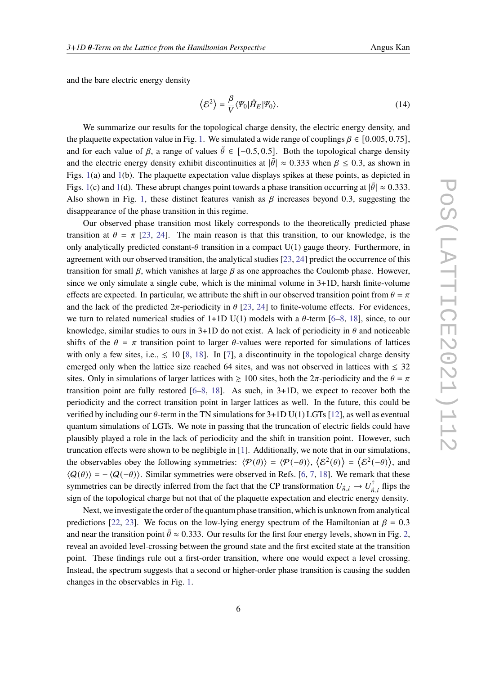and the bare electric energy density

$$
\langle \mathcal{E}^2 \rangle = \frac{\beta}{V} \langle \varPsi_0 | \hat{H}_E | \varPsi_0 \rangle.
$$
 (14)

We summarize our results for the topological charge density, the electric energy density, and the plaquette expectation value in Fig. [1.](#page-4-0) We simulated a wide range of couplings  $\beta \in [0.005, 0.75]$ , and for each value of  $\beta$ , a range of values  $\tilde{\theta} \in [-0.5, 0.5]$ . Both the topological charge density and the electric energy density exhibit discontinuities at  $|\tilde{\theta}| \approx 0.333$  when  $\beta \le 0.3$ , as shown in Figs. [1\(](#page-4-0)a) and [1\(](#page-4-0)b). The plaquette expectation value displays spikes at these points, as depicted in Figs. [1\(](#page-4-0)c) and 1(d). These abrupt changes point towards a phase transition occurring at  $|\tilde{\theta}| \approx 0.333$ . Also shown in Fig. [1,](#page-4-0) these distinct features vanish as  $\beta$  increases beyond 0.3, suggesting the disappearance of the phase transition in this regime.

Our observed phase transition most likely corresponds to the theoretically predicted phase transition at  $\theta = \pi$  [\[23,](#page-9-15) [24\]](#page-9-13). The main reason is that this transition, to our knowledge, is the only analytically predicted constant- $\theta$  transition in a compact U(1) gauge theory. Furthermore, in agreement with our observed transition, the analytical studies [\[23,](#page-9-15) [24\]](#page-9-13) predict the occurrence of this transition for small  $\beta$ , which vanishes at large  $\beta$  as one approaches the Coulomb phase. However, since we only simulate a single cube, which is the minimal volume in 3+1D, harsh finite-volume effects are expected. In particular, we attribute the shift in our observed transition point from  $\theta = \pi$ and the lack of the predicted  $2\pi$ -periodicity in  $\theta$  [\[23,](#page-9-15) [24\]](#page-9-13) to finite-volume effects. For evidences, we turn to related numerical studies of 1+1D U(1) models with a  $\theta$ -term [\[6](#page-8-6)[–8,](#page-8-5) [18\]](#page-9-8), since, to our knowledge, similar studies to ours in 3+1D do not exist. A lack of periodicity in  $\theta$  and noticeable shifts of the  $\theta = \pi$  transition point to larger  $\theta$ -values were reported for simulations of lattices with only a few sites, i.e.,  $\leq 10$  [\[8,](#page-8-5) [18\]](#page-9-8). In [\[7\]](#page-8-7), a discontinuity in the topological charge density emerged only when the lattice size reached 64 sites, and was not observed in lattices with  $\leq 32$ sites. Only in simulations of larger lattices with  $\geq 100$  sites, both the  $2\pi$ -periodicity and the  $\theta = \pi$ transition point are fully restored  $[6-8, 18]$  $[6-8, 18]$  $[6-8, 18]$  $[6-8, 18]$ . As such, in  $3+1D$ , we expect to recover both the periodicity and the correct transition point in larger lattices as well. In the future, this could be verified by including our  $\theta$ -term in the TN simulations for 3+1D U(1) LGTs [\[12\]](#page-9-2), as well as eventual quantum simulations of LGTs. We note in passing that the truncation of electric fields could have plausibly played a role in the lack of periodicity and the shift in transition point. However, such truncation effects were shown to be neglibigle in [\[1\]](#page-8-0). Additionally, we note that in our simulations, the observables obey the following symmetries:  $\langle \mathcal{P}(\theta) \rangle = \langle \mathcal{P}(-\theta) \rangle$ ,  $\langle \mathcal{E}^2(\theta) \rangle = \langle \mathcal{E}^2(-\theta) \rangle$ , and  $\langle Q(\theta) \rangle = -\langle Q(-\theta) \rangle$ . Similar symmetries were observed in Refs. [\[6,](#page-8-6) [7,](#page-8-7) [18\]](#page-9-8). We remark that these symmetries can be directly inferred from the fact that the CP transformation  $U_{\vec{n},i} \to U_{\vec{n}}^{\dagger}$  $\vec{n}, i$  flips the sign of the topological charge but not that of the plaquette expectation and electric energy density.

Next, we investigate the order of the quantum phase transition, which is unknown from analytical predictions [\[22,](#page-9-12) [23\]](#page-9-15). We focus on the low-lying energy spectrum of the Hamiltonian at  $\beta = 0.3$ and near the transition point  $\tilde{\theta} \approx 0.333$ . Our results for the first four energy levels, shown in Fig. [2,](#page-6-0) reveal an avoided level-crossing between the ground state and the first excited state at the transition point. These findings rule out a first-order transition, where one would expect a level crossing. Instead, the spectrum suggests that a second or higher-order phase transition is causing the sudden changes in the observables in Fig. [1.](#page-4-0)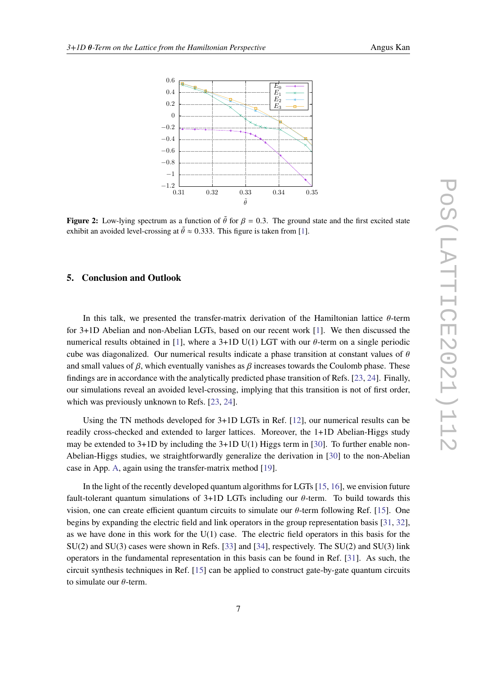<span id="page-6-0"></span>

**Figure 2:** Low-lying spectrum as a function of  $\tilde{\theta}$  for  $\beta = 0.3$ . The ground state and the first excited state exhibit an avoided level-crossing at  $\tilde{\theta} \approx 0.333$ . This figure is taken from [\[1\]](#page-8-0).

## **5. Conclusion and Outlook**

In this talk, we presented the transfer-matrix derivation of the Hamiltonian lattice  $\theta$ -term for 3+1D Abelian and non-Abelian LGTs, based on our recent work [\[1\]](#page-8-0). We then discussed the numerical results obtained in [\[1\]](#page-8-0), where a 3+1D U(1) LGT with our  $\theta$ -term on a single periodic cube was diagonalized. Our numerical results indicate a phase transition at constant values of  $\theta$ and small values of  $\beta$ , which eventually vanishes as  $\beta$  increases towards the Coulomb phase. These findings are in accordance with the analytically predicted phase transition of Refs. [\[23,](#page-9-15) [24\]](#page-9-13). Finally, our simulations reveal an avoided level-crossing, implying that this transition is not of first order, which was previously unknown to Refs. [\[23,](#page-9-15) [24\]](#page-9-13).

Using the TN methods developed for 3+1D LGTs in Ref. [\[12\]](#page-9-2), our numerical results can be readily cross-checked and extended to larger lattices. Moreover, the 1+1D Abelian-Higgs study may be extended to  $3+1D$  by including the  $3+1D U(1)$  Higgs term in [\[30\]](#page-10-4). To further enable non-Abelian-Higgs studies, we straightforwardly generalize the derivation in [\[30\]](#page-10-4) to the non-Abelian case in App. [A,](#page-7-0) again using the transfer-matrix method [\[19\]](#page-9-9).

In the light of the recently developed quantum algorithms for LGTs [\[15,](#page-9-5) [16\]](#page-9-6), we envision future fault-tolerant quantum simulations of  $3+1D$  LGTs including our  $\theta$ -term. To build towards this vision, one can create efficient quantum circuits to simulate our  $\theta$ -term following Ref. [\[15\]](#page-9-5). One begins by expanding the electric field and link operators in the group representation basis [\[31,](#page-10-5) [32\]](#page-10-6), as we have done in this work for the U(1) case. The electric field operators in this basis for the SU(2) and SU(3) cases were shown in Refs. [\[33\]](#page-10-7) and [\[34\]](#page-10-8), respectively. The SU(2) and SU(3) link operators in the fundamental representation in this basis can be found in Ref. [\[31\]](#page-10-5). As such, the circuit synthesis techniques in Ref. [\[15\]](#page-9-5) can be applied to construct gate-by-gate quantum circuits to simulate our  $\theta$ -term.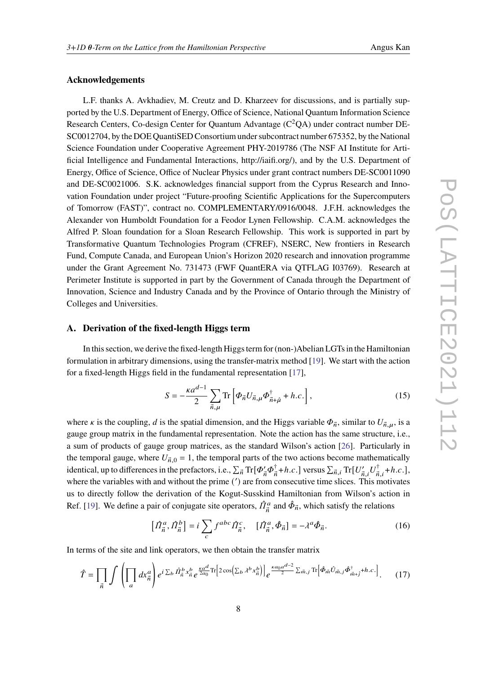## **Acknowledgements**

L.F. thanks A. Avkhadiev, M. Creutz and D. Kharzeev for discussions, and is partially supported by the U.S. Department of Energy, Office of Science, National Quantum Information Science Research Centers, Co-design Center for Quantum Advantage  $(C^2QA)$  under contract number DE-SC0012704, by the DOE QuantiSED Consortium under subcontract number 675352, by the National Science Foundation under Cooperative Agreement PHY-2019786 (The NSF AI Institute for Artificial Intelligence and Fundamental Interactions, http://iaifi.org/), and by the U.S. Department of Energy, Office of Science, Office of Nuclear Physics under grant contract numbers DE-SC0011090 and DE-SC0021006. S.K. acknowledges financial support from the Cyprus Research and Innovation Foundation under project "Future-proofing Scientific Applications for the Supercomputers of Tomorrow (FAST)", contract no. COMPLEMENTARY/0916/0048. J.F.H. acknowledges the Alexander von Humboldt Foundation for a Feodor Lynen Fellowship. C.A.M. acknowledges the Alfred P. Sloan foundation for a Sloan Research Fellowship. This work is supported in part by Transformative Quantum Technologies Program (CFREF), NSERC, New frontiers in Research Fund, Compute Canada, and European Union's Horizon 2020 research and innovation programme under the Grant Agreement No. 731473 (FWF QuantERA via QTFLAG I03769). Research at Perimeter Institute is supported in part by the Government of Canada through the Department of Innovation, Science and Industry Canada and by the Province of Ontario through the Ministry of Colleges and Universities.

## <span id="page-7-0"></span>**A. Derivation of the fixed-length Higgs term**

In this section, we derive the fixed-length Higgs term for (non-)Abelian LGTs in the Hamiltonian formulation in arbitrary dimensions, using the transfer-matrix method [\[19\]](#page-9-9). We start with the action for a fixed-length Higgs field in the fundamental representation [\[17\]](#page-9-7),

$$
S = -\frac{\kappa a^{d-1}}{2} \sum_{\vec{n},\mu} \text{Tr} \left[ \Phi_{\vec{n}} U_{\vec{n},\mu} \Phi_{\vec{n}+\hat{\mu}}^{\dagger} + h.c. \right], \tag{15}
$$

where *k* is the coupling, *d* is the spatial dimension, and the Higgs variable  $\Phi_{\vec{n}}$ , similar to  $U_{\vec{n},\mu}$ , is a gauge group matrix in the fundamental representation. Note the action has the same structure, i.e., a sum of products of gauge group matrices, as the standard Wilson's action [\[26\]](#page-10-0). Particularly in the temporal gauge, where  $U_{\vec{n},0} = 1$ , the temporal parts of the two actions become mathematically identical, up to differences in the prefactors, i.e.,  $\sum_{\vec{n}} \text{Tr}[\phi'_{\vec{n}} \phi^\dagger_{\vec{n}}$  $\frac{\dagger}{n}$ +*h.c.*] versus  $\sum_{\vec{n},i} \text{Tr}[U'_{\vec{n},i}U^{\dagger}_{\vec{n}}]$  $\phi_{\vec{n},i}^{\dagger}$  + h.c.], where the variables with and without the prime (') are from consecutive time slices. This motivates us to directly follow the derivation of the Kogut-Susskind Hamiltonian from Wilson's action in Ref. [\[19\]](#page-9-9). We define a pair of conjugate site operators,  $\hat{\Pi}^a_{\vec{n}}$  and  $\hat{\Phi}_{\vec{n}}$ , which satisfy the relations

$$
\left[\hat{\Pi}_{\vec{n}}^a, \hat{\Pi}_{\vec{n}}^b\right] = i \sum_c f^{abc} \hat{\Pi}_{\vec{n}}^c, \quad \left[\hat{\Pi}_{\vec{n}}^a, \hat{\Phi}_{\vec{n}}\right] = -\lambda^a \hat{\Phi}_{\vec{n}}.
$$
\n(16)

In terms of the site and link operators, we then obtain the transfer matrix

$$
\hat{T} = \prod_{\vec{n}} \int \left( \prod_{a} dx_{\vec{n}}^{a} \right) e^{i \sum_{b} \hat{H}_{\vec{n}}^{b} x_{\vec{n}}^{b}} e^{\frac{\kappa a^{d}}{2a_{0}} \text{Tr} \left[ 2 \cos \left( \sum_{b} \lambda^{b} x_{\vec{n}}^{b} \right) \right]} e^{\frac{\kappa a_{0} a^{d-2}}{2} \sum_{\vec{m},j} \text{Tr} \left[ \hat{\Phi}_{\vec{m}} \hat{U}_{\vec{m},j} \hat{\Phi}_{\vec{m}+\hat{j}}^{\dagger} + h.c. \right]}.
$$
 (17)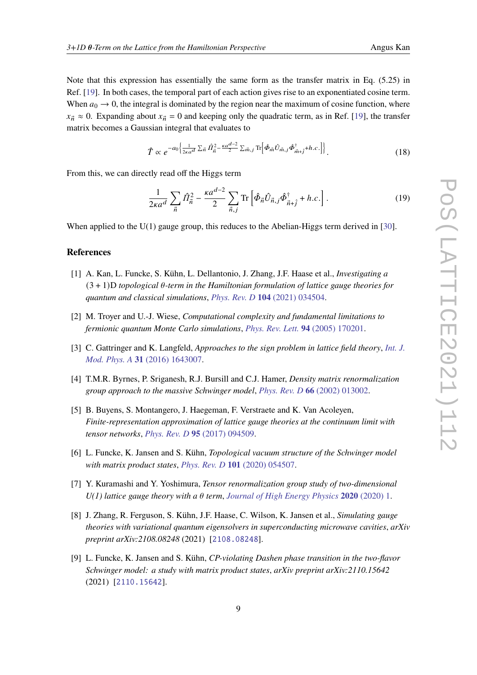Note that this expression has essentially the same form as the transfer matrix in Eq. (5.25) in Ref. [\[19\]](#page-9-9). In both cases, the temporal part of each action gives rise to an exponentiated cosine term. When  $a_0 \rightarrow 0$ , the integral is dominated by the region near the maximum of cosine function, where  $x_{\vec{n}} \approx 0$ . Expanding about  $x_{\vec{n}} = 0$  and keeping only the quadratic term, as in Ref. [\[19\]](#page-9-9), the transfer matrix becomes a Gaussian integral that evaluates to

$$
\hat{T} \propto e^{-a_0 \left\{ \frac{1}{2\kappa a^d} \sum_{\vec{n}} \hat{H}_{\vec{n}}^2 - \frac{\kappa a^{d-2}}{2} \sum_{\vec{m},j} \text{Tr} \left[ \hat{\Phi}_{\vec{m}} \hat{U}_{\vec{m},j} \hat{\Phi}_{\vec{m}+j}^{\dagger} + h.c. \right] \right\}}.
$$
 (18)

From this, we can directly read off the Higgs term

$$
\frac{1}{2\kappa a^d} \sum_{\vec{n}} \hat{\Pi}_{\vec{n}}^2 - \frac{\kappa a^{d-2}}{2} \sum_{\vec{n},j} \text{Tr} \left[ \hat{\Phi}_{\vec{n}} \hat{U}_{\vec{n},j} \hat{\Phi}_{\vec{n}+\hat{j}}^{\dagger} + h.c. \right]. \tag{19}
$$

When applied to the  $U(1)$  gauge group, this reduces to the Abelian-Higgs term derived in [\[30\]](#page-10-4).

# **References**

- <span id="page-8-0"></span>[1] A. Kan, L. Funcke, S. Kühn, L. Dellantonio, J. Zhang, J.F. Haase et al., *Investigating a*  $(3 + 1)$ D *topological*  $\theta$ -term in the Hamiltonian formulation of lattice gauge theories for *quantum and classical simulations*, *Phys. Rev. D* **104** [\(2021\) 034504.](https://doi.org/10.1103/PhysRevD.104.034504)
- <span id="page-8-1"></span>[2] M. Troyer and U.-J. Wiese, *Computational complexity and fundamental limitations to fermionic quantum Monte Carlo simulations*, *[Phys. Rev. Lett.](https://doi.org/10.1103/PhysRevLett.94.170201)* **94** (2005) 170201.
- <span id="page-8-2"></span>[3] C. Gattringer and K. Langfeld, *Approaches to the sign problem in lattice field theory*, *[Int. J.](https://doi.org/10.1142/S0217751X16430077) Mod. Phys. A* **31** [\(2016\) 1643007.](https://doi.org/10.1142/S0217751X16430077)
- <span id="page-8-3"></span>[4] T.M.R. Byrnes, P. Sriganesh, R.J. Bursill and C.J. Hamer, *Density matrix renormalization group approach to the massive Schwinger model*, *Phys. Rev. D* **66** [\(2002\) 013002.](https://doi.org/10.1103/PhysRevD.66.013002)
- [5] B. Buyens, S. Montangero, J. Haegeman, F. Verstraete and K. Van Acoleyen, *Finite-representation approximation of lattice gauge theories at the continuum limit with tensor networks*, *Phys. Rev. D* **95** [\(2017\) 094509.](https://doi.org/10.1103/PhysRevD.95.094509)
- <span id="page-8-6"></span>[6] L. Funcke, K. Jansen and S. Kühn, *Topological vacuum structure of the Schwinger model with matrix product states*, *Phys. Rev. D* **101** [\(2020\) 054507.](https://doi.org/10.1103/PhysRevD.101.054507)
- <span id="page-8-7"></span>[7] Y. Kuramashi and Y. Yoshimura, *Tensor renormalization group study of two-dimensional*  $U(1)$  lattice gauge theory with a  $\theta$  term, *[Journal of High Energy Physics](https://doi.org/https://doi.org/10.1007/JHEP04(2020)089)* 2020 (2020) 1.
- <span id="page-8-5"></span>[8] J. Zhang, R. Ferguson, S. Kühn, J.F. Haase, C. Wilson, K. Jansen et al., *Simulating gauge theories with variational quantum eigensolvers in superconducting microwave cavities*, *arXiv preprint arXiv:2108.08248* (2021) [[2108.08248](https://arxiv.org/abs/2108.08248)].
- <span id="page-8-4"></span>[9] L. Funcke, K. Jansen and S. Kühn, *CP-violating Dashen phase transition in the two-flavor Schwinger model: a study with matrix product states*, *arXiv preprint arXiv:2110.15642* (2021) [[2110.15642](https://arxiv.org/abs/2110.15642)].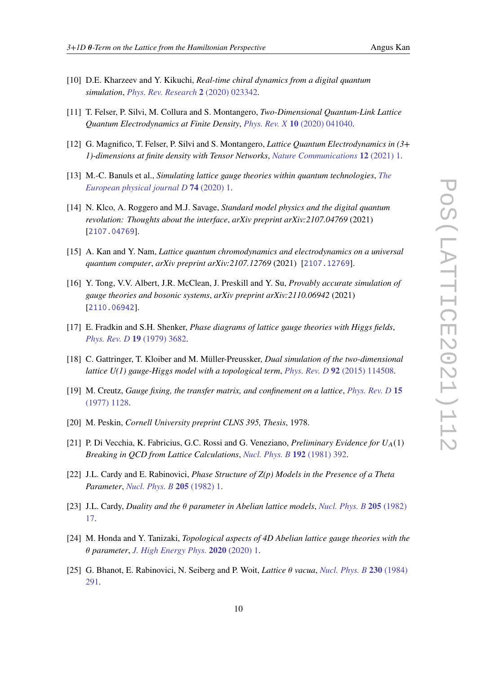- <span id="page-9-0"></span>[10] D.E. Kharzeev and Y. Kikuchi, *Real-time chiral dynamics from a digital quantum simulation*, *[Phys. Rev. Research](https://doi.org/10.1103/PhysRevResearch.2.023342)* **2** (2020) 023342.
- <span id="page-9-1"></span>[11] T. Felser, P. Silvi, M. Collura and S. Montangero, *Two-Dimensional Quantum-Link Lattice Quantum Electrodynamics at Finite Density*, *Phys. Rev. X* **10** [\(2020\) 041040.](https://doi.org/10.1103/PhysRevX.10.041040)
- <span id="page-9-2"></span>[12] G. Magnifico, T. Felser, P. Silvi and S. Montangero, *Lattice Quantum Electrodynamics in (3+ 1)-dimensions at finite density with Tensor Networks*, *[Nature Communications](https://doi.org/https://doi.org/10.1038/s41467-021-23646-3)* **12** (2021) 1.
- <span id="page-9-3"></span>[13] M.-C. Banuls et al., *Simulating lattice gauge theories within quantum technologies*, *[The](https://doi.org/10.1140/epjd/e2020-100571-8) [European physical journal D](https://doi.org/10.1140/epjd/e2020-100571-8)* **74** (2020) 1.
- <span id="page-9-4"></span>[14] N. Klco, A. Roggero and M.J. Savage, *Standard model physics and the digital quantum revolution: Thoughts about the interface*, *arXiv preprint arXiv:2107.04769* (2021) [[2107.04769](https://arxiv.org/abs/2107.04769)].
- <span id="page-9-5"></span>[15] A. Kan and Y. Nam, *Lattice quantum chromodynamics and electrodynamics on a universal quantum computer*, *arXiv preprint arXiv:2107.12769* (2021) [[2107.12769](https://arxiv.org/abs/2107.12769)].
- <span id="page-9-6"></span>[16] Y. Tong, V.V. Albert, J.R. McClean, J. Preskill and Y. Su, *Provably accurate simulation of gauge theories and bosonic systems*, *arXiv preprint arXiv:2110.06942* (2021) [[2110.06942](https://arxiv.org/abs/2110.06942)].
- <span id="page-9-7"></span>[17] E. Fradkin and S.H. Shenker, *Phase diagrams of lattice gauge theories with Higgs fields*, *[Phys. Rev. D](https://doi.org/10.1103/PhysRevD.19.3682)* **19** (1979) 3682.
- <span id="page-9-8"></span>[18] C. Gattringer, T. Kloiber and M. Müller-Preussker, *Dual simulation of the two-dimensional lattice U(1) gauge-Higgs model with a topological term*, *Phys. Rev. D* **92** [\(2015\) 114508.](https://doi.org/10.1103/PhysRevD.92.114508)
- <span id="page-9-9"></span>[19] M. Creutz, *Gauge fixing, the transfer matrix, and confinement on a lattice*, *[Phys. Rev. D](https://doi.org/10.1103/PhysRevD.15.1128)* **15** [\(1977\) 1128.](https://doi.org/10.1103/PhysRevD.15.1128)
- <span id="page-9-10"></span>[20] M. Peskin, *Cornell University preprint CLNS 395, Thesis*, 1978.
- <span id="page-9-11"></span>[21] P. Di Vecchia, K. Fabricius, G.C. Rossi and G. Veneziano, *Preliminary Evidence for U*(1) *Breaking in QCD from Lattice Calculations*, *[Nucl. Phys. B](https://doi.org/10.1016/0550-3213(81)90432-6)* **192** (1981) 392.
- <span id="page-9-12"></span>[22] J.L. Cardy and E. Rabinovici, *Phase Structure of Z(p) Models in the Presence of a Theta Parameter*, *[Nucl. Phys. B](https://doi.org/10.1016/0550-3213(82)90463-1)* **205** (1982) 1.
- <span id="page-9-15"></span>[23] J.L. Cardy, *Duality and the*  $\theta$  *parameter in Abelian lattice models, [Nucl. Phys. B](https://doi.org/10.1016/0550-3213(82)90464-3)* 205 (1982) [17.](https://doi.org/10.1016/0550-3213(82)90464-3)
- <span id="page-9-13"></span>[24] M. Honda and Y. Tanizaki, *Topological aspects of 4D Abelian lattice gauge theories with the parameter*, *[J. High Energy Phys.](https://doi.org/10.1007/JHEP12(2020)154)* **2020** (2020) 1.
- <span id="page-9-14"></span>[25] G. Bhanot, E. Rabinovici, N. Seiberg and P. Woit, *Lattice vacua*, *[Nucl. Phys. B](https://doi.org/10.1016/0550-3213(84)90214-1)* **230** (1984) [291.](https://doi.org/10.1016/0550-3213(84)90214-1)